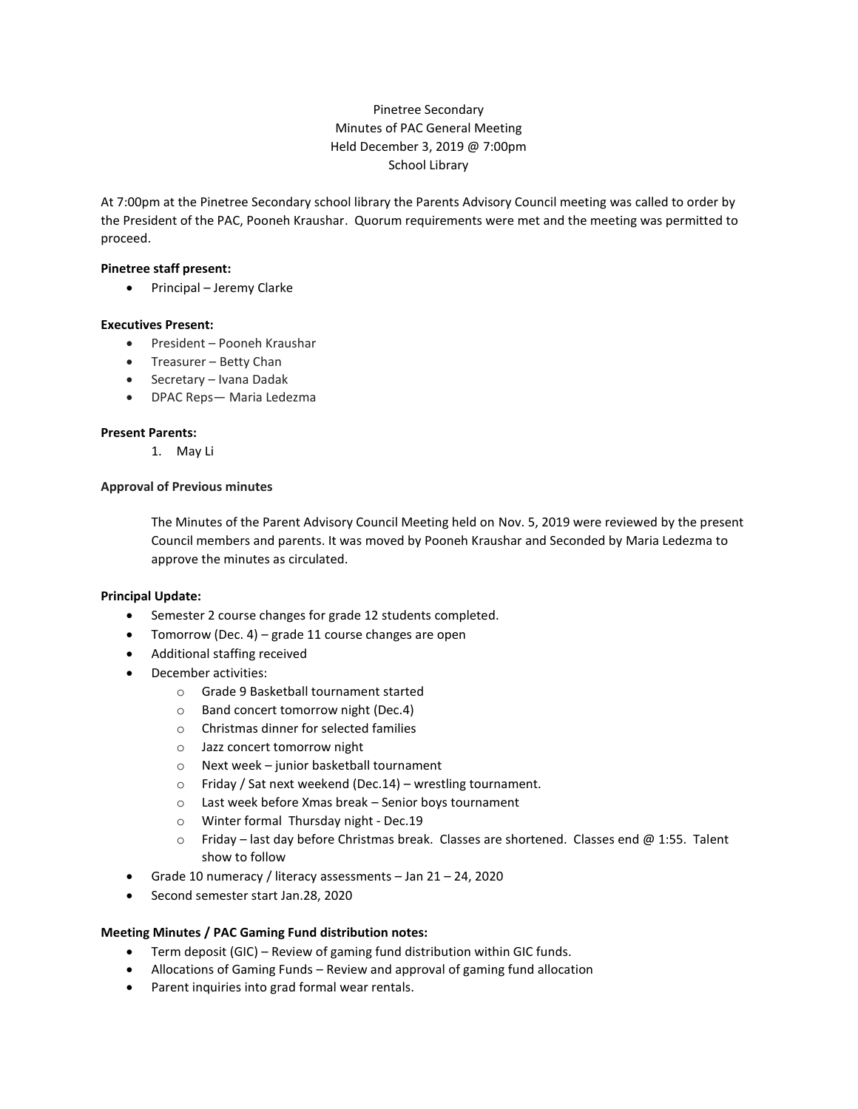# Pinetree Secondary Minutes of PAC General Meeting Held December 3, 2019 @ 7:00pm School Library

At 7:00pm at the Pinetree Secondary school library the Parents Advisory Council meeting was called to order by the President of the PAC, Pooneh Kraushar. Quorum requirements were met and the meeting was permitted to proceed.

## **Pinetree staff present:**

• Principal – Jeremy Clarke

## **Executives Present:**

- President Pooneh Kraushar
- Treasurer Betty Chan
- Secretary Ivana Dadak
- DPAC Reps— Maria Ledezma

#### **Present Parents:**

1. May Li

#### **Approval of Previous minutes**

The Minutes of the Parent Advisory Council Meeting held on Nov. 5, 2019 were reviewed by the present Council members and parents. It was moved by Pooneh Kraushar and Seconded by Maria Ledezma to approve the minutes as circulated.

#### **Principal Update:**

- Semester 2 course changes for grade 12 students completed.
- Tomorrow (Dec. 4) grade 11 course changes are open
- Additional staffing received
- December activities:
	- o Grade 9 Basketball tournament started
	- o Band concert tomorrow night (Dec.4)
	- o Christmas dinner for selected families
	- o Jazz concert tomorrow night
	- o Next week junior basketball tournament
	- o Friday / Sat next weekend (Dec.14) wrestling tournament.
	- o Last week before Xmas break Senior boys tournament
	- o Winter formal Thursday night Dec.19
	- $\circ$  Friday last day before Christmas break. Classes are shortened. Classes end @ 1:55. Talent show to follow
- Grade 10 numeracy / literacy assessments Jan 21 24, 2020
- Second semester start Jan.28, 2020

# **Meeting Minutes / PAC Gaming Fund distribution notes:**

- Term deposit (GIC) Review of gaming fund distribution within GIC funds.
- Allocations of Gaming Funds Review and approval of gaming fund allocation
- Parent inquiries into grad formal wear rentals.